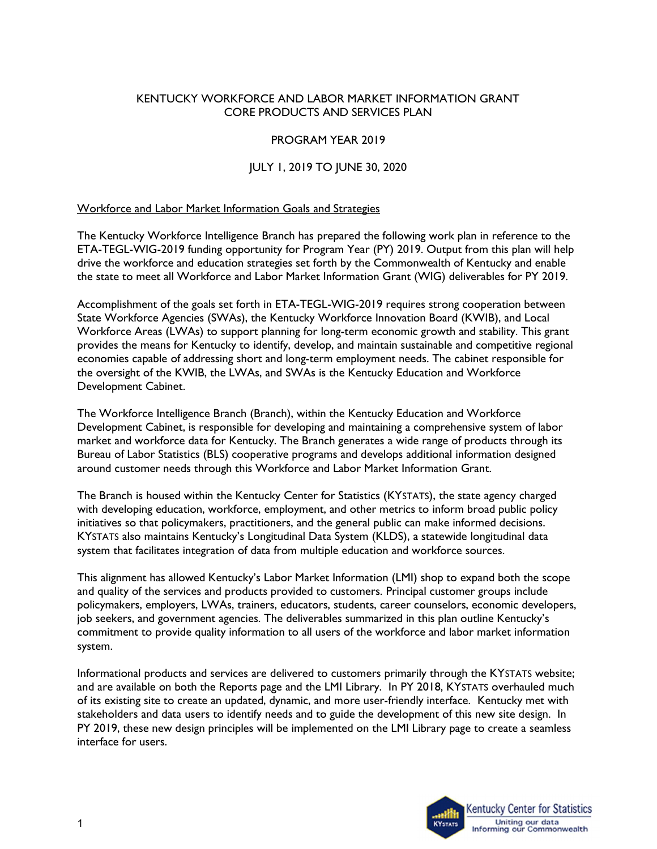#### KENTUCKY WORKFORCE AND LABOR MARKET INFORMATION GRANT CORE PRODUCTS AND SERVICES PLAN

### PROGRAM YEAR 2019

### JULY 1, 2019 TO JUNE 30, 2020

#### Workforce and Labor Market Information Goals and Strategies

The Kentucky Workforce Intelligence Branch has prepared the following work plan in reference to the ETA-TEGL-WIG-2019 funding opportunity for Program Year (PY) 2019. Output from this plan will help drive the workforce and education strategies set forth by the Commonwealth of Kentucky and enable the state to meet all Workforce and Labor Market Information Grant (WIG) deliverables for PY 2019.

Accomplishment of the goals set forth in ETA-TEGL-WIG-2019 requires strong cooperation between State Workforce Agencies (SWAs), the Kentucky Workforce Innovation Board (KWIB), and Local Workforce Areas (LWAs) to support planning for long-term economic growth and stability. This grant provides the means for Kentucky to identify, develop, and maintain sustainable and competitive regional economies capable of addressing short and long-term employment needs. The cabinet responsible for the oversight of the KWIB, the LWAs, and SWAs is the Kentucky Education and Workforce Development Cabinet.

The Workforce Intelligence Branch (Branch), within the Kentucky Education and Workforce Development Cabinet, is responsible for developing and maintaining a comprehensive system of labor market and workforce data for Kentucky. The Branch generates a wide range of products through its Bureau of Labor Statistics (BLS) cooperative programs and develops additional information designed around customer needs through this Workforce and Labor Market Information Grant.

The Branch is housed within the Kentucky Center for Statistics (KYSTATS), the state agency charged with developing education, workforce, employment, and other metrics to inform broad public policy initiatives so that policymakers, practitioners, and the general public can make informed decisions. KYSTATS also maintains Kentucky's Longitudinal Data System (KLDS), a statewide longitudinal data system that facilitates integration of data from multiple education and workforce sources.

This alignment has allowed Kentucky's Labor Market Information (LMI) shop to expand both the scope and quality of the services and products provided to customers. Principal customer groups include policymakers, employers, LWAs, trainers, educators, students, career counselors, economic developers, job seekers, and government agencies. The deliverables summarized in this plan outline Kentucky's commitment to provide quality information to all users of the workforce and labor market information system.

Informational products and services are delivered to customers primarily through the KYSTATS website; and are available on both the Reports page and the LMI Library. In PY 2018, KYSTATS overhauled much of its existing site to create an updated, dynamic, and more user-friendly interface. Kentucky met with stakeholders and data users to identify needs and to guide the development of this new site design. In PY 2019, these new design principles will be implemented on the LMI Library page to create a seamless interface for users.

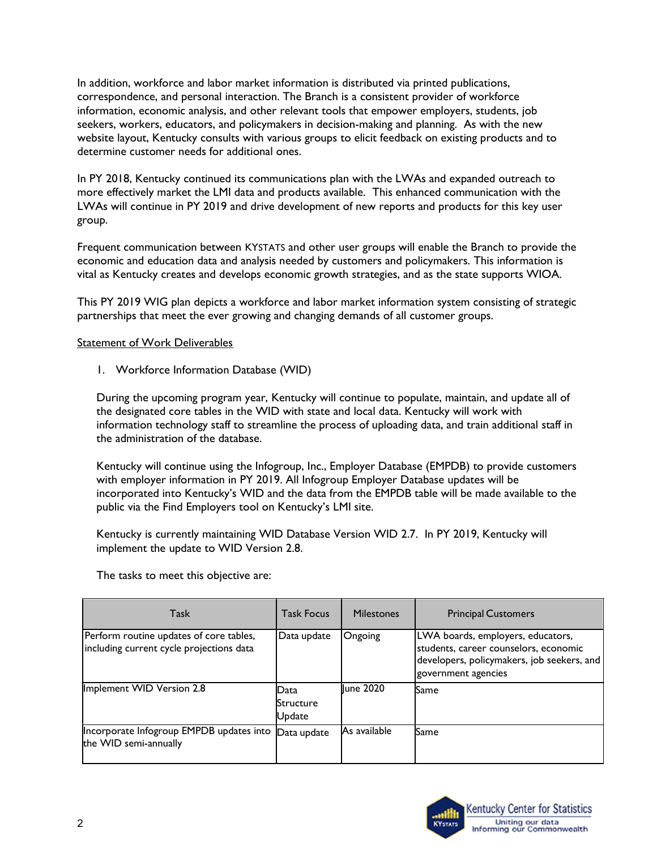In addition, workforce and labor market information is distributed via printed publications, correspondence, and personal interaction. The Branch is a consistent provider of workforce information, economic analysis, and other relevant tools that empower employers, students, job seekers, workers, educators, and policymakers in decision-making and planning. As with the new website layout, Kentucky consults with various groups to elicit feedback on existing products and to determine customer needs for additional ones.

In PY 2018, Kentucky continued its communications plan with the LWAs and expanded outreach to more effectively market the LMI data and products available. This enhanced communication with the LWAs will continue in PY 2019 and drive development of new reports and products for this key user group.

Frequent communication between KYSTATS and other user groups will enable the Branch to provide the economic and education data and analysis needed by customers and policymakers. This information is vital as Kentucky creates and develops economic growth strategies, and as the state supports WIOA.

This PY 2019 WIG plan depicts a workforce and labor market information system consisting of strategic partnerships that meet the ever growing and changing demands of all customer groups.

#### Statement of Work Deliverables

1. Workforce Information Database (WID)

During the upcoming program year, Kentucky will continue to populate, maintain, and update all of the designated core tables in the WID with state and local data. Kentucky will work with information technology staff to streamline the process of uploading data, and train additional staff in the administration of the database.

Kentucky will continue using the Infogroup, Inc., Employer Database (EMPDB) to provide customers with employer information in PY 2019. All Infogroup Employer Database updates will be incorporated into Kentucky's WID and the data from the EMPDB table will be made available to the public via the Find Employers tool on Kentucky's LMI site.

Kentucky is currently maintaining WID Database Version WID 2.7. In PY 2019, Kentucky will implement the update to WID Version 2.8.

The tasks to meet this objective are:

| Task                                                                                | Task Focus                          | <b>Milestones</b> | <b>Principal Customers</b>                                                                                                                      |
|-------------------------------------------------------------------------------------|-------------------------------------|-------------------|-------------------------------------------------------------------------------------------------------------------------------------------------|
| Perform routine updates of core tables,<br>including current cycle projections data | Data update                         | Ongoing           | LWA boards, employers, educators,<br>students, career counselors, economic<br>developers, policymakers, job seekers, and<br>government agencies |
| Implement WID Version 2.8                                                           | lData<br><b>Structure</b><br>Update | llune 2020        | <b>S</b> ame                                                                                                                                    |
| Incorporate Infogroup EMPDB updates into<br>the WID semi-annually                   | Data update                         | As available      | Same                                                                                                                                            |

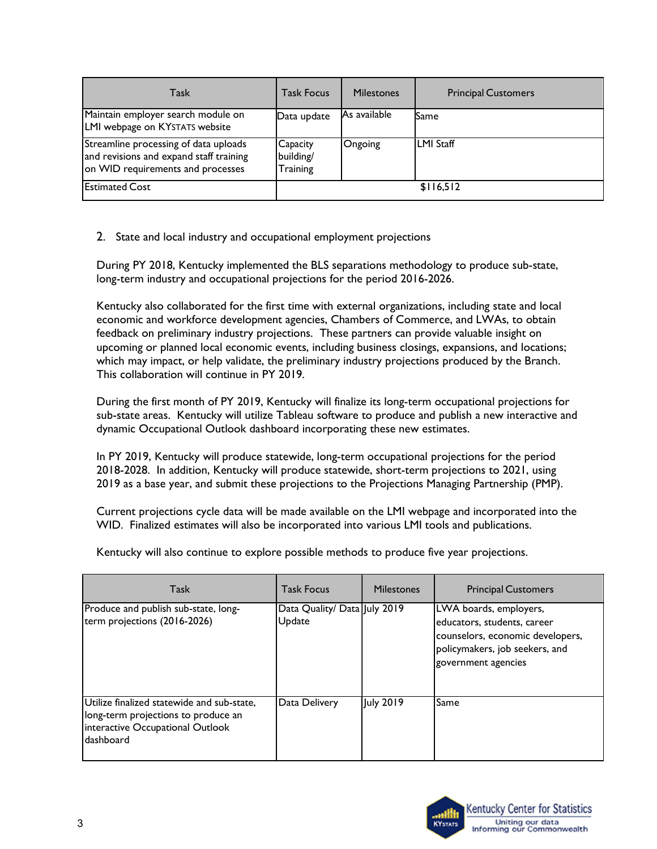| Task                                                                                                                  | <b>Task Focus</b>                 | <b>Milestones</b> | <b>Principal Customers</b> |
|-----------------------------------------------------------------------------------------------------------------------|-----------------------------------|-------------------|----------------------------|
| Maintain employer search module on<br>LMI webpage on KYSTATS website                                                  | Data update                       | lAs available     | Same                       |
| Streamline processing of data uploads<br>and revisions and expand staff training<br>on WID requirements and processes | Capacity<br>building/<br>Training | Ongoing           | LMI Staff                  |
| <b>Estimated Cost</b>                                                                                                 |                                   |                   | \$116,512                  |

2. State and local industry and occupational employment projections

During PY 2018, Kentucky implemented the BLS separations methodology to produce sub-state, long-term industry and occupational projections for the period 2016-2026.

Kentucky also collaborated for the first time with external organizations, including state and local economic and workforce development agencies, Chambers of Commerce, and LWAs, to obtain feedback on preliminary industry projections. These partners can provide valuable insight on upcoming or planned local economic events, including business closings, expansions, and locations; which may impact, or help validate, the preliminary industry projections produced by the Branch. This collaboration will continue in PY 2019.

During the first month of PY 2019, Kentucky will finalize its long-term occupational projections for sub-state areas. Kentucky will utilize Tableau software to produce and publish a new interactive and dynamic Occupational Outlook dashboard incorporating these new estimates.

In PY 2019, Kentucky will produce statewide, long-term occupational projections for the period 2018-2028. In addition, Kentucky will produce statewide, short-term projections to 2021, using 2019 as a base year, and submit these projections to the Projections Managing Partnership (PMP).

Current projections cycle data will be made available on the LMI webpage and incorporated into the WID. Finalized estimates will also be incorporated into various LMI tools and publications.

| Task                                                                                                                               | <b>Task Focus</b>                      | <b>Milestones</b> | <b>Principal Customers</b>                                                                                                                         |
|------------------------------------------------------------------------------------------------------------------------------------|----------------------------------------|-------------------|----------------------------------------------------------------------------------------------------------------------------------------------------|
| Produce and publish sub-state, long-<br>term projections (2016-2026)                                                               | Data Quality/ Data July 2019<br>Update |                   | LWA boards, employers,<br>educators, students, career<br>counselors, economic developers,<br>policymakers, job seekers, and<br>government agencies |
| Utilize finalized statewide and sub-state,<br>long-term projections to produce an<br>interactive Occupational Outlook<br>dashboard | Data Delivery                          | July 2019         | Same                                                                                                                                               |

Kentucky will also continue to explore possible methods to produce five year projections.

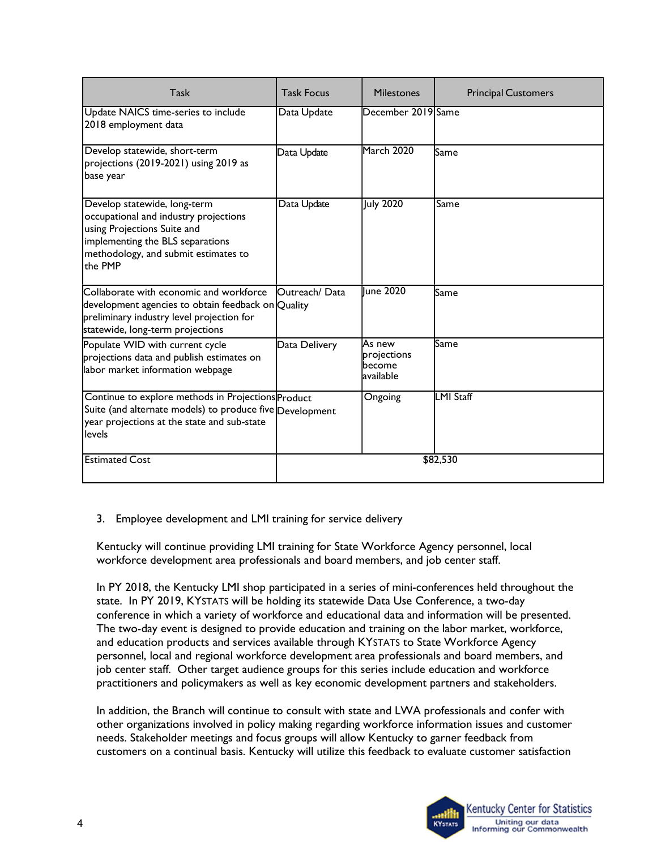| Task                                                                                                                                                                                        | <b>Task Focus</b> | <b>Milestones</b>                             | <b>Principal Customers</b> |
|---------------------------------------------------------------------------------------------------------------------------------------------------------------------------------------------|-------------------|-----------------------------------------------|----------------------------|
| Update NAICS time-series to include<br>2018 employment data                                                                                                                                 | Data Update       | December 2019 Same                            |                            |
| Develop statewide, short-term<br>projections (2019-2021) using 2019 as<br>base year                                                                                                         | Data Update       | March 2020                                    | Same                       |
| Develop statewide, long-term<br>occupational and industry projections<br>using Projections Suite and<br>implementing the BLS separations<br>methodology, and submit estimates to<br>the PMP | Data Update       | <b>July 2020</b>                              | Same                       |
| Collaborate with economic and workforce<br>development agencies to obtain feedback on Quality<br>preliminary industry level projection for<br>statewide, long-term projections              | Outreach/ Data    | llune 2020                                    | Same                       |
| Populate WID with current cycle<br>projections data and publish estimates on<br>labor market information webpage                                                                            | Data Delivery     | As new<br>projections<br>become<br>lavailable | Same                       |
| Continue to explore methods in Projections Product<br>Suite (and alternate models) to produce five Development<br>year projections at the state and sub-state<br>levels                     |                   | Ongoing                                       | LMI Staff                  |
| <b>Estimated Cost</b>                                                                                                                                                                       |                   |                                               | \$82,530                   |

## 3. Employee development and LMI training for service delivery

Kentucky will continue providing LMI training for State Workforce Agency personnel, local workforce development area professionals and board members, and job center staff.

In PY 2018, the Kentucky LMI shop participated in a series of mini-conferences held throughout the state. In PY 2019, KYSTATS will be holding its statewide Data Use Conference, a two-day conference in which a variety of workforce and educational data and information will be presented. The two-day event is designed to provide education and training on the labor market, workforce, and education products and services available through KYSTATS to State Workforce Agency personnel, local and regional workforce development area professionals and board members, and job center staff. Other target audience groups for this series include education and workforce practitioners and policymakers as well as key economic development partners and stakeholders.

In addition, the Branch will continue to consult with state and LWA professionals and confer with other organizations involved in policy making regarding workforce information issues and customer needs. Stakeholder meetings and focus groups will allow Kentucky to garner feedback from customers on a continual basis. Kentucky will utilize this feedback to evaluate customer satisfaction

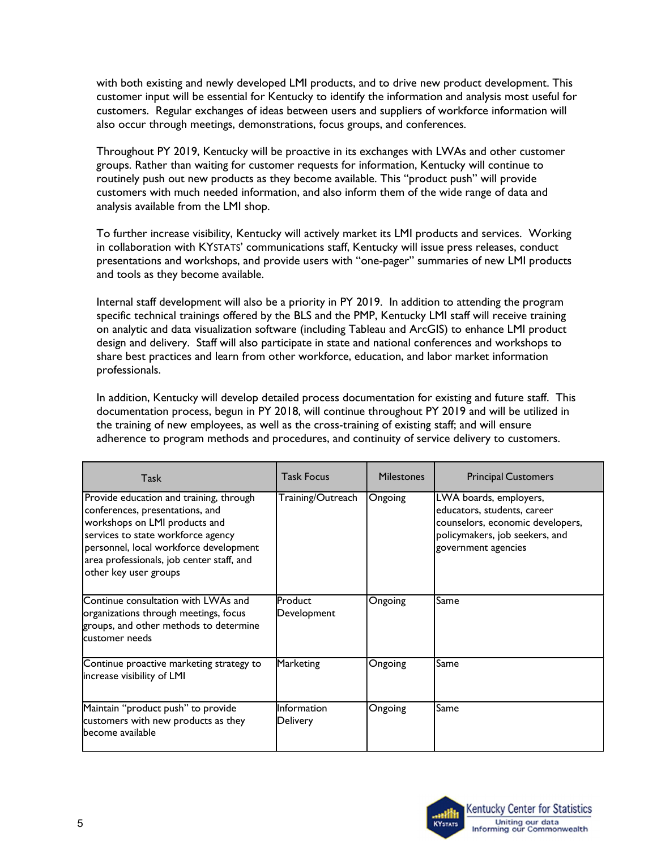with both existing and newly developed LMI products, and to drive new product development. This customer input will be essential for Kentucky to identify the information and analysis most useful for customers. Regular exchanges of ideas between users and suppliers of workforce information will also occur through meetings, demonstrations, focus groups, and conferences.

Throughout PY 2019, Kentucky will be proactive in its exchanges with LWAs and other customer groups. Rather than waiting for customer requests for information, Kentucky will continue to routinely push out new products as they become available. This "product push" will provide customers with much needed information, and also inform them of the wide range of data and analysis available from the LMI shop.

To further increase visibility, Kentucky will actively market its LMI products and services. Working in collaboration with KYSTATS' communications staff, Kentucky will issue press releases, conduct presentations and workshops, and provide users with "one-pager" summaries of new LMI products and tools as they become available.

Internal staff development will also be a priority in PY 2019. In addition to attending the program specific technical trainings offered by the BLS and the PMP, Kentucky LMI staff will receive training on analytic and data visualization software (including Tableau and ArcGIS) to enhance LMI product design and delivery. Staff will also participate in state and national conferences and workshops to share best practices and learn from other workforce, education, and labor market information professionals.

In addition, Kentucky will develop detailed process documentation for existing and future staff. This documentation process, begun in PY 2018, will continue throughout PY 2019 and will be utilized in the training of new employees, as well as the cross-training of existing staff; and will ensure adherence to program methods and procedures, and continuity of service delivery to customers.

| Task                                                                                                                                                                                                                                                              | Task Focus                     | <b>Milestones</b> | <b>Principal Customers</b>                                                                                                                         |
|-------------------------------------------------------------------------------------------------------------------------------------------------------------------------------------------------------------------------------------------------------------------|--------------------------------|-------------------|----------------------------------------------------------------------------------------------------------------------------------------------------|
| Provide education and training, through<br>conferences, presentations, and<br>workshops on LMI products and<br>services to state workforce agency<br>personnel, local workforce development<br>area professionals, job center staff, and<br>other key user groups | Training/Outreach              | Ongoing           | LWA boards, employers,<br>educators, students, career<br>counselors, economic developers,<br>policymakers, job seekers, and<br>government agencies |
| Continue consultation with LWAs and<br>organizations through meetings, focus<br>groups, and other methods to determine<br>lcustomer needs                                                                                                                         | <b>P</b> roduct<br>Development | Ongoing           | Same                                                                                                                                               |
| Continue proactive marketing strategy to<br>lincrease visibility of LMI                                                                                                                                                                                           | Marketing                      | Ongoing           | Same                                                                                                                                               |
| Maintain "product push" to provide<br>customers with new products as they<br>become available                                                                                                                                                                     | Information<br>Delivery        | Ongoing           | Same                                                                                                                                               |

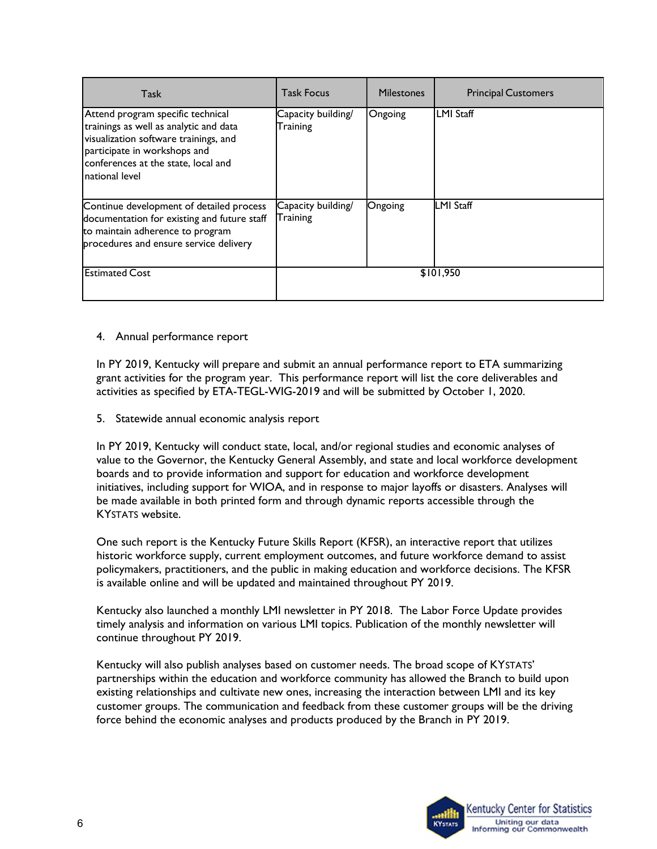| Task                                                                                                                                                                                                           | <b>Task Focus</b>              | <b>Milestones</b> | <b>Principal Customers</b> |
|----------------------------------------------------------------------------------------------------------------------------------------------------------------------------------------------------------------|--------------------------------|-------------------|----------------------------|
| Attend program specific technical<br>trainings as well as analytic and data<br>visualization software trainings, and<br>participate in workshops and<br>conferences at the state, local and<br>Inational level | Capacity building/<br>Training | Ongoing           | LMI Staff                  |
| Continue development of detailed process<br>documentation for existing and future staff<br>to maintain adherence to program<br>procedures and ensure service delivery                                          | Capacity building/<br>Training | <b>Ongoing</b>    | <b>LMI Staff</b>           |
| <b>Estimated Cost</b>                                                                                                                                                                                          |                                |                   | \$101,950                  |

#### 4. Annual performance report

In PY 2019, Kentucky will prepare and submit an annual performance report to ETA summarizing grant activities for the program year. This performance report will list the core deliverables and activities as specified by ETA-TEGL-WIG-2019 and will be submitted by October 1, 2020.

5. Statewide annual economic analysis report

In PY 2019, Kentucky will conduct state, local, and/or regional studies and economic analyses of value to the Governor, the Kentucky General Assembly, and state and local workforce development boards and to provide information and support for education and workforce development initiatives, including support for WIOA, and in response to major layoffs or disasters. Analyses will be made available in both printed form and through dynamic reports accessible through the KYSTATS website.

One such report is the Kentucky Future Skills Report (KFSR), an interactive report that utilizes historic workforce supply, current employment outcomes, and future workforce demand to assist policymakers, practitioners, and the public in making education and workforce decisions. The KFSR is available online and will be updated and maintained throughout PY 2019.

Kentucky also launched a monthly LMI newsletter in PY 2018. The Labor Force Update provides timely analysis and information on various LMI topics. Publication of the monthly newsletter will continue throughout PY 2019.

Kentucky will also publish analyses based on customer needs. The broad scope of KYSTATS' partnerships within the education and workforce community has allowed the Branch to build upon existing relationships and cultivate new ones, increasing the interaction between LMI and its key customer groups. The communication and feedback from these customer groups will be the driving force behind the economic analyses and products produced by the Branch in PY 2019.

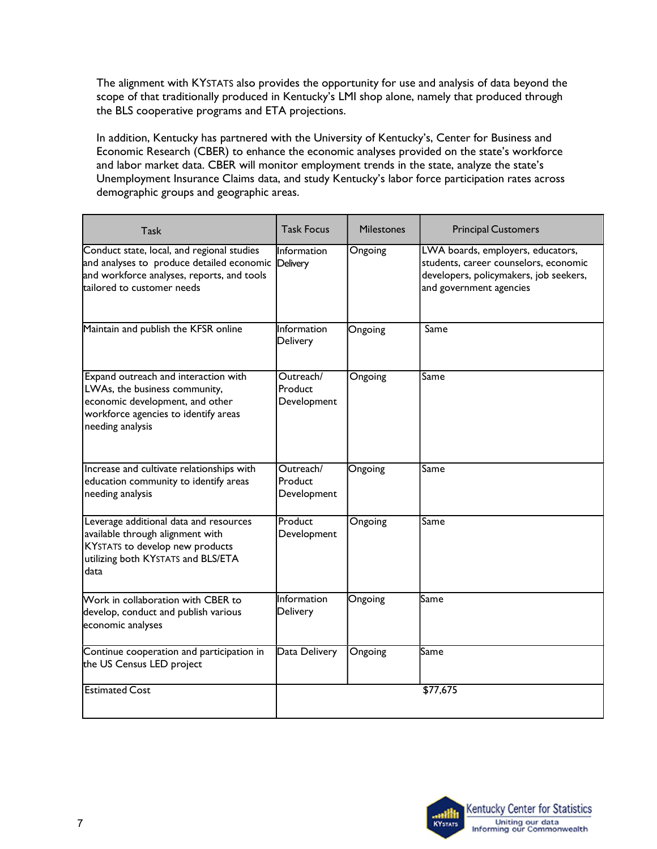The alignment with KYSTATS also provides the opportunity for use and analysis of data beyond the scope of that traditionally produced in Kentucky's LMI shop alone, namely that produced through the BLS cooperative programs and ETA projections.

In addition, Kentucky has partnered with the University of Kentucky's, Center for Business and Economic Research (CBER) to enhance the economic analyses provided on the state's workforce and labor market data. CBER will monitor employment trends in the state, analyze the state's Unemployment Insurance Claims data, and study Kentucky's labor force participation rates across demographic groups and geographic areas.

| Task                                                                                                                                                                          | <b>Task Focus</b>                   | <b>Milestones</b> | <b>Principal Customers</b>                                                                                                                      |
|-------------------------------------------------------------------------------------------------------------------------------------------------------------------------------|-------------------------------------|-------------------|-------------------------------------------------------------------------------------------------------------------------------------------------|
| Conduct state, local, and regional studies<br>and analyses to produce detailed economic Delivery<br>and workforce analyses, reports, and tools<br>ltailored to customer needs | IInformation                        | Ongoing           | LWA boards, employers, educators,<br>students, career counselors, economic<br>developers, policymakers, job seekers,<br>and government agencies |
| Maintain and publish the KFSR online                                                                                                                                          | Information<br>Delivery             | Ongoing           | Same                                                                                                                                            |
| Expand outreach and interaction with<br>LWAs, the business community,<br>economic development, and other<br>workforce agencies to identify areas<br>needing analysis          | Outreach/<br>Product<br>Development | Ongoing           | Same                                                                                                                                            |
| Increase and cultivate relationships with<br>education community to identify areas<br>needing analysis                                                                        | Outreach/<br>Product<br>Development | Ongoing           | Same                                                                                                                                            |
| Leverage additional data and resources<br>available through alignment with<br>KYSTATS to develop new products<br>utilizing both KYSTATS and BLS/ETA<br>data                   | Product<br>Development              | Ongoing           | Same                                                                                                                                            |
| $\mathsf W$ ork in collaboration with CBER to<br>develop, conduct and publish various<br>economic analyses                                                                    | Information<br>Delivery             | Ongoing           | Same                                                                                                                                            |
| Continue cooperation and participation in<br>the US Census LED project                                                                                                        | Data Delivery                       | Ongoing           | Same                                                                                                                                            |
| <b>Estimated Cost</b>                                                                                                                                                         |                                     |                   | \$77,675                                                                                                                                        |

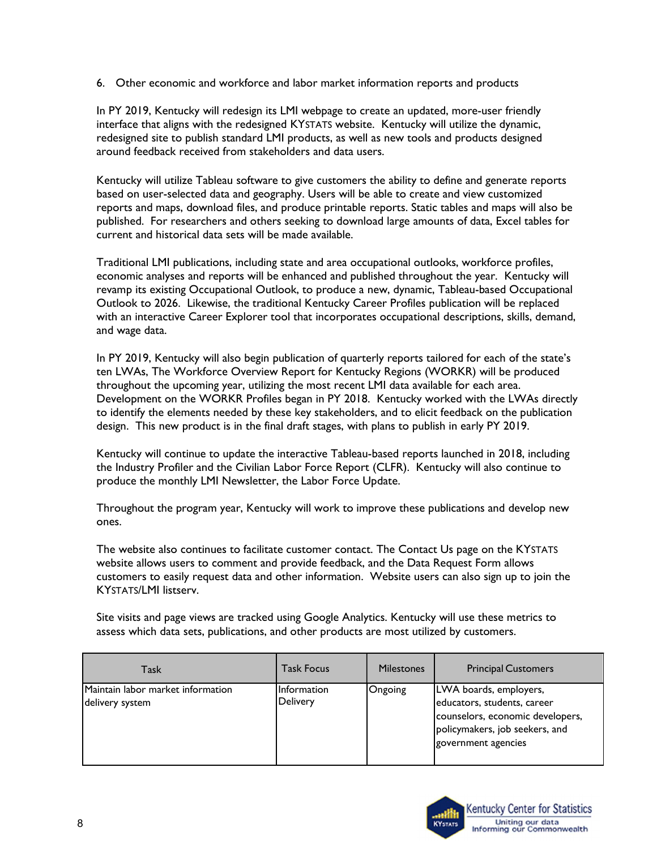6. Other economic and workforce and labor market information reports and products

In PY 2019, Kentucky will redesign its LMI webpage to create an updated, more-user friendly interface that aligns with the redesigned KYSTATS website. Kentucky will utilize the dynamic, redesigned site to publish standard LMI products, as well as new tools and products designed around feedback received from stakeholders and data users.

Kentucky will utilize Tableau software to give customers the ability to define and generate reports based on user-selected data and geography. Users will be able to create and view customized reports and maps, download files, and produce printable reports. Static tables and maps will also be published. For researchers and others seeking to download large amounts of data, Excel tables for current and historical data sets will be made available.

Traditional LMI publications, including state and area occupational outlooks, workforce profiles, economic analyses and reports will be enhanced and published throughout the year. Kentucky will revamp its existing Occupational Outlook, to produce a new, dynamic, Tableau-based Occupational Outlook to 2026. Likewise, the traditional Kentucky Career Profiles publication will be replaced with an interactive Career Explorer tool that incorporates occupational descriptions, skills, demand, and wage data.

In PY 2019, Kentucky will also begin publication of quarterly reports tailored for each of the state's ten LWAs, The Workforce Overview Report for Kentucky Regions (WORKR) will be produced throughout the upcoming year, utilizing the most recent LMI data available for each area. Development on the WORKR Profiles began in PY 2018. Kentucky worked with the LWAs directly to identify the elements needed by these key stakeholders, and to elicit feedback on the publication design. This new product is in the final draft stages, with plans to publish in early PY 2019.

Kentucky will continue to update the interactive Tableau-based reports launched in 2018, including the Industry Profiler and the Civilian Labor Force Report (CLFR). Kentucky will also continue to produce the monthly LMI Newsletter, the Labor Force Update.

Throughout the program year, Kentucky will work to improve these publications and develop new ones.

The website also continues to facilitate customer contact. The Contact Us page on the KYSTATS website allows users to comment and provide feedback, and the Data Request Form allows customers to easily request data and other information. Website users can also sign up to join the KYSTATS/LMI listserv.

Site visits and page views are tracked using Google Analytics. Kentucky will use these metrics to assess which data sets, publications, and other products are most utilized by customers.

| Task                              | <b>Task Focus</b> | <b>Milestones</b> | <b>Principal Customers</b>                                                                                               |
|-----------------------------------|-------------------|-------------------|--------------------------------------------------------------------------------------------------------------------------|
| Maintain labor market information | Information       | Ongoing           | LWA boards, employers,                                                                                                   |
| delivery system                   | Delivery          |                   | educators, students, career<br>counselors, economic developers,<br>policymakers, job seekers, and<br>government agencies |